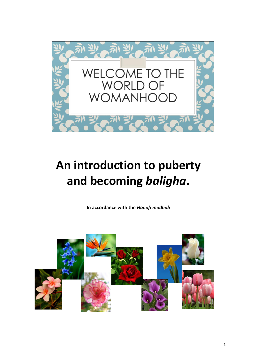

# **An introduction to puberty and becoming** *baligha***.**

**In accordance with the** *Hanafi madhab*

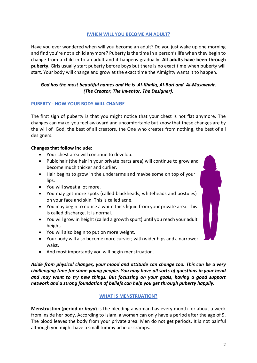# **IWHEN WILL YOU BECOME AN ADULT?**

Have you ever wondered when will you become an adult? Do you just wake up one morning and find you're not a child anymore? Puberty is the time in a person's life when they begin to change from a child in to an adult and it happens gradually. **All adults have been through puberty**. Girls usually start puberty before boys but there is no exact time when puberty will start. Your body will change and grow at the exact time the Almighty wants it to happen.

# *God has the most beautiful names and He is Al-Khaliq, Al-Bari and Al-Musawwir. (The Creator, The Inventor, The Designer).*

## **PUBERTY - HOW YOUR BODY WILL CHANGE**

The first sign of puberty is that you might notice that your chest is not flat anymore. The changes can make you feel awkward and uncomfortable but know that these changes are by the will of God, the best of all creators, the One who creates from nothing, the best of all designers.

#### **Changes that follow include:**

- Your chest area will continue to develop.
- Pubic hair (the hair in your private parts area) will continue to grow and become much thicker and curlier.
- Hair begins to grow in the underarms and maybe some on top of your lips.
- You will sweat a lot more.
- You may get more spots (called blackheads, whiteheads and postules) on your face and skin. This is called acne.
- You may begin to notice a white thick liquid from your private area. This is called discharge. It is normal.
- You will grow in height (called a growth spurt) until you reach your adult height.
- You will also begin to put on more weight.
- Your body will also become more curvier; with wider hips and a narrower waist.
- And most importantly you will begin menstruation.

*Aside from physical changes, your mood and attitude can change too. This can be a very challenging time for some young people. You may have all sorts of questions in your head and may want to try new things. But focussing on your goals, having a good support network and a strong foundation of beliefs can help you get through puberty happily.*

#### **WHAT IS MENSTRUATION?**

**Menstrustion** (**period or** *hayd*) is the bleeding a woman has every month for about a week from inside her body. According to Islam, a woman can only have a period after the age of 9. The blood leaves the body from your private area. Men do not get periods. It is not painful although you might have a small tummy ache or cramps.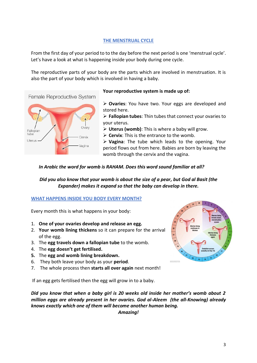# **THE MENSTRUAL CYCLE**

From the first day of your period to to the day before the next period is one 'menstrual cycle'. Let's have a look at what is happening inside your body during one cycle.

The reproductive parts of your body are the parts which are involved in menstruation. It is also the part of your body which is involved in having a baby.





# **Your reproductive system is made up of:**

➢ **Ovaries**: You have two. Your eggs are developed and stored here.

➢ **Fallopian tubes**: Thin tubes that connect your ovaries to your uterus.

- ➢ **Uterus (womb)**: This is where a baby will grow.
- ➢ **Cervix**: This is the entrance to the womb.

➢ **Vagina**: The tube which leads to the opening. Your period flows out from here. Babies are born by leaving the womb through the cervix and the vagina.

## *In Arabic the word for womb is RAHAM. Does this word sound familiar at all?*

*Did you also know that your womb is about the size of a pear, but God al Basit (the Expander) makes it expand so that the baby can develop in there.* 

## **WHAT HAPPENS INSIDE YOU BODY EVERY MONTH?**

Every month this is what happens in your body:

- 1. **One of your ovaries develop and release an egg.**
- 2. **Your womb lining thickens** so it can prepare for the arrival of the egg.
- 3. The **egg travels down a fallopian tube** to the womb.
- 4. The **egg doesn't get fertilised.**
- **5.** The **egg and womb lining breakdown.**
- 6. They both leave your body as your **period**.
- 7. The whole process then **starts all over again** next month!

If an egg gets fertilised then the egg will grow in to a baby.

*Did you know that when a baby girl is 20 weeks old inside her mother's womb about 2 million eggs are already present in her ovaries. God al-Aleem (the all-Knowing) already knows exactly which one of them will become another human being.*

*Amazing!*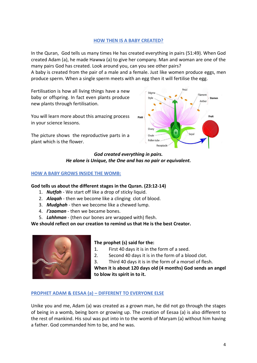#### **HOW THEN IS A BABY CREATED?**

In the Quran, God tells us many times He has created everything in pairs (51:49). When God created Adam (a), he made Hawwa (a) to give her company. Man and woman are one of the many pairs God has created. Look around you, can you see other pairs?

A baby is created from the pair of a male and a female. Just like women produce eggs, men produce sperm. When a single sperm meets with an egg then it will fertilise the egg.

Fertilisation is how all living things have a new baby or offspring. In fact even plants produce new plants through fertilisation.

You will learn more about this amazing process in your science lessons.

The picture shows the reproductive parts in a plant which is the flower.



#### *God created everything in pairs. He alone is Unique, the One and has no pair or equivalent.*

#### **HOW A BABY GROWS INSIDE THE WOMB:**

#### **God tells us about the different stages in the Quran. (23:12-14)**

- 1. *Nutfah* We start off like a drop of sticky liquid.
- 2. *Alaqah* then we become like a clinging clot of blood.
- 3. *Mudghah* then we become like a chewed lump.
- 4. *I'zaaman* then we became bones.
- 5. *Lahhman* (then our bones are wrapped with) flesh.

**We should reflect on our creation to remind us that He is the best Creator.** 



## **The prophet (s) said for the:**

- 1. First 40 days it is in the form of a seed.
- 2. Second 40 days it is in the form of a blood clot.
- 3. Third 40 days it is in the form of a morsel of flesh.

**When it is about 120 days old (4 months) God sends an angel to blow its spirit in to it.** 

#### **PROPHET ADAM & EESAA (a) – DIFFERENT TO EVERYONE ELSE**

Unike you and me, Adam (a) was created as a grown man, he did not go through the stages of being in a womb, being born or growing up. The creation of Eesaa (a) is also different to the rest of mankind. His soul was put into in to the womb of Maryam (a) without him having a father. God commanded him to be, and he was.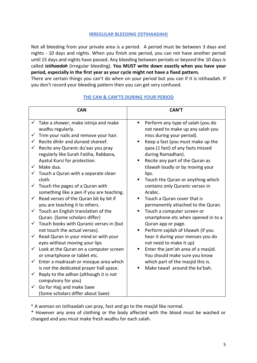## **IRREGULAR BLEEDING (ISTIHAADAH)**

Not all bleeding from your private area is a period. A period must be between 3 days and nights - 10 days and nights. When you finish one period, you can not have another period until 15 days and nights have passed. Any bleeding between periods or beyond the 10 days is called *istihaadah* (irregular bleeding). **You MUST write down exactly when you have your period, especially in the first year as your cycle might not have a fixed pattern.** 

There are certain things you can't do when on your period but you can if it is istihaadah. If you don't record your bleeding pattern then you can get very confused.

|                                   | <b>CAN</b>                                                                                                                                                                                                                                                                                                                                                                                                                                                                                                                                                                                                                                                                                                                                                                                | <b>CAN'T</b>                                                                                                                                                                                                                                                                                                                                                                                                                                                                                                                                                                                                                                                       |
|-----------------------------------|-------------------------------------------------------------------------------------------------------------------------------------------------------------------------------------------------------------------------------------------------------------------------------------------------------------------------------------------------------------------------------------------------------------------------------------------------------------------------------------------------------------------------------------------------------------------------------------------------------------------------------------------------------------------------------------------------------------------------------------------------------------------------------------------|--------------------------------------------------------------------------------------------------------------------------------------------------------------------------------------------------------------------------------------------------------------------------------------------------------------------------------------------------------------------------------------------------------------------------------------------------------------------------------------------------------------------------------------------------------------------------------------------------------------------------------------------------------------------|
| ✓<br>$\checkmark$<br>$\checkmark$ | $\checkmark$ Take a shower, make istinja and make<br>wudhu regularly.<br>Trim your nails and remove your hair.<br>Recite dhikr and durood shareef.<br>Recite any Quranic du'aas you pray<br>regularly like Surah Fatiha, Rabbana,<br>Ayatul Kursi for protection.<br>$\checkmark$ Make dua.<br>$\checkmark$ Touch a Quran with a separate clean<br>cloth.<br>$\checkmark$ Touch the pages of a Quran with<br>something like a pen if you are teaching.<br>Read verses of the Quran bit by bit if<br>you are teaching it to others.<br>$\checkmark$ Touch an English translation of the<br>Quran. (Some scholars differ)<br>$\checkmark$ Touch books with Quranic verses in (but<br>not touch the actual verses).<br>Read Quran in your mind or with your<br>eyes without moving your lips | Perform any type of salah (you do<br>٠<br>not need to make up any salah you<br>miss during your period).<br>Keep a fast (you must make up the<br>qaza (1 fast) of any fasts missed<br>during Ramadhan).<br>Recite any part of the Quran as<br>п<br>tilawah loudly or by moving your<br>lips.<br>Touch the Quran or anything which<br>٠<br>contains only Quranic verses in<br>Arabic.<br>Touch a Quran cover that is<br>permanently attached to the Quran.<br>Touch a computer screen or<br>٠<br>smartphone etc when opened in to a<br>Quran app or page.<br>Perform sajdah of tilawah (if you<br>п<br>hear it during your menses you do<br>not need to make it up) |
| $\checkmark$                      | Look at the Quran on a computer screen<br>or smartphone or tablet etc.                                                                                                                                                                                                                                                                                                                                                                                                                                                                                                                                                                                                                                                                                                                    | Enter the jam'ah area of a masjid.<br>П<br>You should make sure you know                                                                                                                                                                                                                                                                                                                                                                                                                                                                                                                                                                                           |
| $\checkmark$                      | Enter a madrasah or mosque area which<br>is not the dedicated prayer hall space.                                                                                                                                                                                                                                                                                                                                                                                                                                                                                                                                                                                                                                                                                                          | which part of the masjid this is.<br>Make tawaf around the ka'bah.                                                                                                                                                                                                                                                                                                                                                                                                                                                                                                                                                                                                 |
| $\checkmark$                      | Reply to the adhan (although it is not<br>compulsory for you)                                                                                                                                                                                                                                                                                                                                                                                                                                                                                                                                                                                                                                                                                                                             |                                                                                                                                                                                                                                                                                                                                                                                                                                                                                                                                                                                                                                                                    |
|                                   | Go for Hajj and make Saee<br>(Some scholars differ about Saee)                                                                                                                                                                                                                                                                                                                                                                                                                                                                                                                                                                                                                                                                                                                            |                                                                                                                                                                                                                                                                                                                                                                                                                                                                                                                                                                                                                                                                    |

# **THE CAN & CAN'TS DURING YOUR PERIOD**

\* A woman on istihaadah can pray, fast and go to the masjid like normal.

\* However any area of clothing or the body affected with the blood must be washed or changed and you must make fresh wudhu for each salah.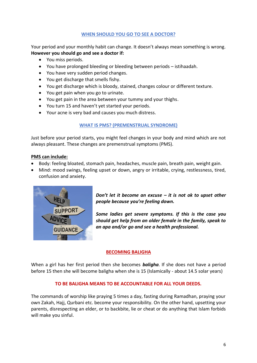# **WHEN SHOULD YOU GO TO SEE A DOCTOR?**

Your period and your monthly habit can change. It doesn't always mean something is wrong. **However you should go and see a doctor if:** 

- You miss periods.
- You have prolonged bleeding or bleeding between periods istihaadah.
- You have very sudden period changes.
- You get discharge that smells fishy.
- You get discharge which is bloody, stained, changes colour or different texture.
- You get pain when you go to urinate.
- You get pain in the area between your tummy and your thighs.
- You turn 15 and haven't yet started your periods.
- Your acne is very bad and causes you much distress.

# **WHAT IS PMS? (PREMENSTRUAL SYNDROME)**

Just before your period starts, you might feel changes in your body and mind which are not always pleasant. These changes are premenstrual symptoms (PMS).

#### **PMS can include:**

- Body: feeling bloated, stomach pain, headaches, muscle pain, breath pain, weight gain.
- Mind: mood swings, feeling upset or down, angry or irritable, crying, restlessness, tired, confusion and anxiety.



*Don't let it become an excuse – it is not ok to upset other people because you're feeling down.*

*Some ladies get severe symptoms. If this is the case you should get help from an older female in the family, speak to an apa and/or go and see a health professional.* 

# **BECOMING BALIGHA**

When a girl has her first period then she becomes *baligha*. If she does not have a period before 15 then she will become baligha when she is 15 (Islamically - about 14.5 solar years)

## **TO BE BALIGHA MEANS TO BE ACCOUNTABLE FOR ALL YOUR DEEDS.**

The commands of worship like praying 5 times a day, fasting during Ramadhan, praying your own Zakah, Hajj, Qurbani etc. become your responsibility. On the other hand, upsetting your parents, disrespecting an elder, or to backbite, lie or cheat or do anything that Islam forbids will make you sinful.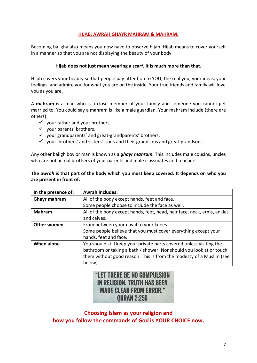# **HIJAB, AWRAH GHAYR MAHRAM & MAHRAM.**

Becoming baligha also means you now have to observe hijab. Hijab means to cover yourself in a manner so that you are not displaying the beauty of your body.

#### **Hijab does not just mean wearing a scarf. It is much more than that.**

Hijab covers your beauty so that people pay attention to YOU, the real you, your ideas, your feelings, and admire you for what you are on the inside. Your true friends and family will love you as you are.

A **mahram** is a man who is a close member of your family and someone you cannot get married to. You could say a mahram is like a male guardian. Your mahram include (there are others):

- $\checkmark$  your father and your brothers,
- $\checkmark$  your parents' brothers,
- $\checkmark$  your grandparents' and great-grandparents' brothers,
- $\checkmark$  your brothers' and sisters' sons and their grandsons and great-grandsons.

Any other baligh boy or man is known as a *ghayr mahram.* This includes male cousins, uncles who are not actual brothers of your parents and male classmates and teachers.

#### **The** *awrah* **is that part of the body which you must keep covered. It depends on who you are present in front of:**

| In the presence of: | <b>Awrah includes:</b>                                                  |
|---------------------|-------------------------------------------------------------------------|
| <b>Ghayr mahram</b> | All of the body except hands, feet and face.                            |
|                     | Some people choose to include the face as well.                         |
| <b>Mahram</b>       | All of the body except hands, feet, head, hair face, neck, arms, ankles |
|                     | and calves.                                                             |
| Other women         | From between your naval to your knees.                                  |
|                     | Some people believe that you must cover everything except your          |
|                     | hands, feet and face.                                                   |
| When alone          | You should still keep your private parts covered unless visiting the    |
|                     | bathroom or taking a bath / shower. Nor should you look at or touch     |
|                     | them without good reason. This is from the modesty of a Muslim (see     |
|                     | below).                                                                 |

# "LET THERE BE NO COMPULSION **IN RELIGION. TRUTH HAS BEEN MADE CLEAR FROM ERROR." QURAN 2:256**

**Choosing Islam as your religion and how you follow the commands of God is YOUR CHOICE now.**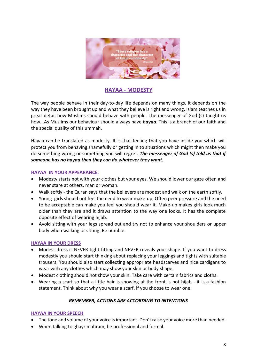

# **HAYAA - MODESTY**

The way people behave in their day-to-day life depends on many things. It depends on the way they have been brought up and what they believe is right and wrong. Islam teaches us in great detail how Muslims should behave with people. The messenger of God (s) taught us how. As Muslims our behaviour should always have *hayaa*. This is a branch of our faith and the special quality of this ummah.

Hayaa can be translated as modesty. It is that feeling that you have inside you which will protect you from behaving shamefully or getting in to situations which might then make you do something wrong or something you will regret. *The messenger of God (s) told us that if someone has no hayaa then they can do whatever they want.*

#### **HAYAA IN YOUR APPEARANCE.**

- Modesty starts not with your clothes but your eyes. We should lower our gaze often and never stare at others, man or woman.
- Walk softly the Quran says that the believers are modest and walk on the earth softly.
- Young girls should not feel the need to wear make-up. Often peer pressure and the need to be acceptable can make you feel you should wear it. Make-up makes girls look much older than they are and it draws attention to the way one looks. It has the complete opposite effect of wearing hijab.
- Avoid sitting with your legs spread out and try not to enhance your shoulders or upper body when walking or sitting. Be humble.

## **HAYAA IN YOUR DRESS**

- Modest dress is NEVER tight-fitting and NEVER reveals your shape. If you want to dress modestly you should start thinking about replacing your leggings and tights with suitable trousers. You should also start collecting appropriate headscarves and nice cardigans to wear with any clothes which may show your skin or body shape.
- Modest clothing should not show your skin. Take care with certain fabrics and cloths.
- Wearing a scarf so that a little hair is showing at the front is not hijab it is a fashion statement. Think about why you wear a scarf, if you choose to wear one.

## *REMEMBER, ACTIONS ARE ACCORDING TO INTENTIONS*

## **HAYAA IN YOUR SPEECH**

- The tone and volume of your voice is important. Don't raise your voice more than needed.
- When talking to ghayr mahram, be professional and formal.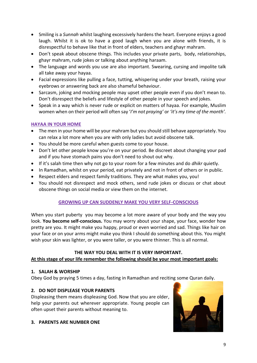- Smiling is a *Sunnah* whilst laughing excessively hardens the heart. Everyone enjoys a good laugh. Whilst it is ok to have a good laugh when you are alone with friends, it is disrespectful to behave like that in front of elders, teachers and ghayr mahram.
- Don't speak about obscene things. This includes your private parts, body, relationships, ghayr mahram, rude jokes or talking about anything haraam.
- The language and words you use are also important. Swearing, cursing and impolite talk all take away your hayaa.
- Facial expressions like pulling a face, tutting, whispering under your breath, raising your eyebrows or answering back are also shameful behaviour.
- Sarcasm, joking and mocking people may upset other people even if you don't mean to. Don't disrespect the beliefs and lifestyle of other people in your speech and jokes.
- Speak in a way which is never rude or explicit on matters of hayaa. For example, Muslim women when on their period will often say '*I'm not praying'* or *'it's my time of the month'.*

# **HAYAA IN YOUR HOME**

- The men in your home will be your mahram but you should still behave appropriately. You can relax a lot more when you are with only ladies but avoid obscene talk.
- You should be more careful when guests come to your house.
- Don't let other people know you're on your period. Be discreet about changing your pad and if you have stomach pains you don't need to shout out why.
- If it's salah time then why not go to your room for a few minutes and do *dhikr* quietly.
- In Ramadhan, whilst on your period, eat privately and not in front of others or in public.
- Respect elders and respect family traditions. They are what makes you, you!
- You should not disrespect and mock others, send rude jokes or discuss or chat about obscene things on social media or view them on the internet.

## **GROWING UP CAN SUDDENLY MAKE YOU VERY SELF-CONSCIOUS**

When you start puberty you may become a lot more aware of your body and the way you look. **You become self-conscious.** You may worry about your shape, your face, wonder how pretty are you. It might make you happy, proud or even worried and sad. Things like hair on your face or on your arms might make you think I should do something about this. You might wish your skin was lighter, or you were taller, or you were thinner. This is all normal.

#### **THE WAY YOU DEAL WITH IT IS VERY IMPORTANT. At this stage of your life remember the following should be your most important goals:**

## **1. SALAH & WORSHIP**

Obey God by praying 5 times a day, fasting in Ramadhan and reciting some Quran daily.

## **2. DO NOT DISPLEASE YOUR PARENTS**

Displeasing them means displeasing God. Now that you are older, help your parents out wherever appropriate. Young people can often upset their parents without meaning to.



## **3. PARENTS ARE NUMBER ONE**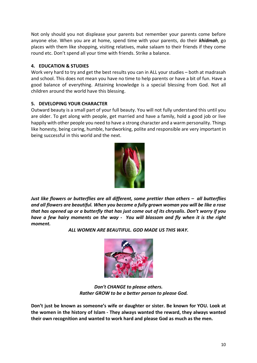Not only should you not displease your parents but remember your parents come before anyone else. When you are at home, spend time with your parents, do their *khidmah*, go places with them like shopping, visiting relatives, make salaam to their friends if they come round etc. Don't spend all your time with friends. Strike a balance.

# **4. EDUCATION & STUDIES**

Work very hard to try and get the best results you can in ALL your studies – both at madrasah and school. This does not mean you have no time to help parents or have a bit of fun. Have a good balance of everything. Attaining knowledge is a special blessing from God. Not all children around the world have this blessing.

# **5. DEVELOPING YOUR CHARACTER**

Outward beauty is a small part of your full beauty. You will not fully understand this until you are older. To get along with people, get married and have a family, hold a good job or live happily with other people you need to have a strong character and a warm personality. Things like honesty, being caring, humble, hardworking, polite and responsible are very important in being successful in this world and the next.



*Just like flowers or butterflies are all different, some prettier than others – all butterflies and all flowers are beautiful. When you become a fully grown woman you will be like a rose that has opened up or a butterfly that has just come out of its chrysalis. Don't worry if you have a few hairy moments on the way - You will blossom and fly when it is the right moment.*

*ALL WOMEN ARE BEAUTIFUL. GOD MADE US THIS WAY.*



*Don't CHANGE to please others. Rather GROW to be a better person to please God.*

**Don't just be known as someone's wife or daughter or sister. Be known for YOU. Look at the women in the history of Islam - They always wanted the reward, they always wanted their own recognition and wanted to work hard and please God as much as the men.**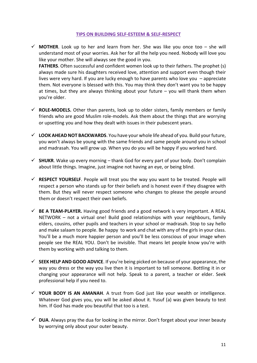#### **TIPS ON BUILDING SELF-ESTEEM & SELF-RESPECT**

- $\checkmark$  **MOTHER**. Look up to her and learn from her. She was like you once too she will understand most of your worries. Ask her for all the help you need. Nobody will love you like your mother. She will always see the good in you. **FATHERS**. Often successful and confident women look up to their fathers. The prophet (s) always made sure his daughters received love, attention and support even though their lives were very hard. If you are lucky enough to have parents who love you – appreciate them. Not everyone is blessed with this. You may think they don't want you to be happy at times, but they are always thinking about your future  $-$  you will thank them when
- $\checkmark$  **ROLE-MODELS.** Other than parents, look up to older sisters, family members or family friends who are good Muslim role-models. Ask them about the things that are worrying or upsetting you and how they dealt with issues in their pubescent years.

you're older.

- ✓ **LOOK AHEAD NOT BACKWARDS**. You have your whole life ahead of you. Build your future, you won't always be young with the same friends and same people around you in school and madrasah. You will grow up. When you do you will be happy if you worked hard.
- $\checkmark$  **SHUKR**. Wake up every morning thank God for every part of your body. Don't complain about little things. Imagine, just imagine not having an eye, or being blind.
- ✓ **RESPECT YOURSELF**. People will treat you the way you want to be treated. People will respect a person who stands up for their beliefs and is honest even if they disagree with them. But they will never respect someone who changes to please the people around them or doesn't respect their own beliefs.
- ✓ **BE A TEAM-PLAYER.** Having good friends and a good network is very important. A REAL NETWORK – not a virtual one! Build good relationships with your neighbours, family elders, cousins, other pupils and teachers in your school or madrasah. Stop to say hello and make salaam to people. Be happy to work and chat with any of the girls in your class. You'll be a much more happier person and you'll be less conscious of your image when people see the REAL YOU. Don't be invisible. That means let people know you're with them by working with and talking to them.
- ✓ **SEEK HELP AND GOOD ADVICE**. If you're being picked on because of your appearance, the way you dress or the way you live then it is important to tell someone. Bottling it in or changing your appearance will not help. Speak to a parent, a teacher or elder. Seek professional help if you need to.
- ✓ **YOUR BODY IS AN AMANAH**. A trust from God just like your wealth or intelligence. Whatever God gives you, you will be asked about it. Yusuf (a) was given beauty to test him. If God has made you beautiful that too is a test.
- $\checkmark$  **DUA**. Always pray the dua for looking in the mirror. Don't forget about your inner beauty by worrying only about your outer beauty.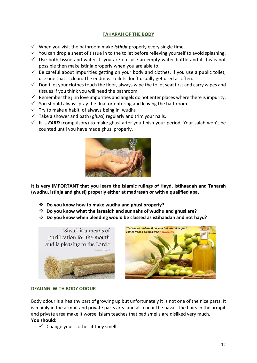# **TAHARAH OF THE BODY**

- ✓ When you visit the bathroom make *istinja* properly every single time.
- $\checkmark$  You can drop a sheet of tissue in to the toilet before relieving yourself to avoid splashing.
- $\checkmark$  Use both tissue and water. If you are out use an empty water bottle and if this is not possible then make istinja properly when you are able to.
- $\checkmark$  Be careful about impurities getting on your body and clothes. If you use a public toilet, use one that is clean. The endmost toilets don't usually get used as often.
- $\checkmark$  Don't let your clothes touch the floor, always wipe the toilet seat first and carry wipes and tissues if you think you will need the bathroom.
- $\checkmark$  Remember the jinn love impurities and angels do not enter places where there is impurity.
- $\checkmark$  You should always pray the dua for entering and leaving the bathroom.
- $\checkmark$  Try to make a habit of always being in wudhu.
- ✓ Take a shower and bath (*ghusl*) regularly and trim your nails.
- $\checkmark$  It is **FARD** (compulsory) to make ghusl after you finish your period. Your salah won't be counted until you have made ghusl properly.



**It is very IMPORTANT that you learn the Islamic rulings of Hayd, Istihaadah and Taharah (wudhu, istinja and ghusl) properly either at madrasah or with a qualified apa.**

- ❖ **Do you know how to make wudhu and ghusl properly?**
- ❖ **Do you know what the faraaidh and sunnahs of wudhu and ghusl are?**
- ❖ **Do you know when bleeding would be classed as istihaadah and not hayd?**





## **DEALING WITH BODY ODOUR**

Body odour is a healthy part of growing up but unfortunately it is not one of the nice parts. It is mainly in the armpit and private parts area and also near the naval. The hairs in the armpit and private area make it worse. Islam teaches that bad smells are disliked very much. **You should:** 

 $\checkmark$  Change your clothes if they smell.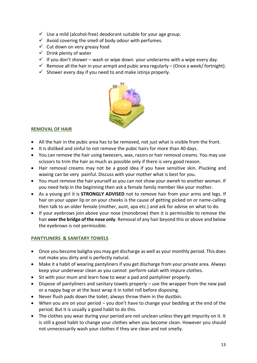- $\checkmark$  Use a mild (alcohol-free) deodorant suitable for your age group.
- $\checkmark$  Avoid covering the smell of body odour with perfumes.
- $\checkmark$  Cut down on very greasy food
- $\checkmark$  Drink plenty of water
- $\checkmark$  If you don't shower wash or wipe down your underarms with a wipe every day.
- $\checkmark$  Remove all the hair in your armpit and pubic area regularly (Once a week/ fortnight).
- $\checkmark$  Shower every day if you need to and make istinja properly.



# **REMOVAL OF HAIR**

- All the hair in the pubic area has to be removed, not just what is visible from the front.
- It is disliked and sinful to not remove the pubic hairs for more than 40 days.
- You can remove the hair using tweezers, wax, razors or hair removal creams. You may use scissors to trim the hair as much as possible only if there is very good reason.
- Hair removal creams may not be a good idea if you have sensitive skin. Plucking and waxing can be very painful. Discuss with your mother what is best for you.
- You must remove the hair yourself as you can not show your *awrah* to another woman. If you need help in the beginning then ask a female family member like your mother.
- As a young girl it is **STRONGLY ADVISED** not to remove hair from your arms and legs. If hair on your upper lip or on your cheeks is the cause of getting picked on or name-calling then talk to an older female (mother, aunt, apa etc.) and ask for advise on what to do.
- If your eyebrows join above your nose (monobrow) then it is permissible to remove the hair **over the bridge of the nose only**. Removal of any hair beyond this or above and below the eyebrows is not permissible.

## **PANTYLINERS & SANITARY TOWELS**

- Once you become baligha you may get discharge as well as your monthly period. This does not make you dirty and is perfectly natural.
- Make it a habit of wearing pantyliners if you get discharge from your private area. Always keep your underwear clean as you cannot perform salah with impure clothes.
- Sit with your mum and learn how to wear a pad and pantyliner properly.
- Dispose of pantyliners and sanitary towels properly use the wrapper from the new pad or a nappy bag or at the least wrap it in toilet roll before disposing.
- Never flush pads down the toilet; always throw them in the dustbin.
- When you are on your period you don't have to change your bedding at the end of the period. But it is usually a good habit to do this.
- The clothes you wear during your period are not unclean unless they get impurity on it. It is still a good habit to change your clothes when you become clean. However you should not unnecessarily wash your clothes if they are clean and not smelly.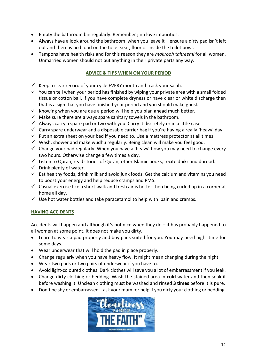- Empty the bathroom bin regularly. Remember jinn love impurities.
- Always have a look around the bathroom when you leave it ensure a dirty pad isn't left out and there is no blood on the toilet seat, floor or inside the toilet bowl.
- Tampons have health risks and for this reason they are *makrooh tahreemi* for all women. Unmarried women should not put anything in their private parts any way.

# **ADVICE & TIPS WHEN ON YOUR PERIOD**

- $\checkmark$  Keep a clear record of your cycle EVERY month and track your salah.
- $\checkmark$  You can tell when your period has finished by wiping your private area with a small folded tissue or cotton ball. If you have complete dryness or have clear or white discharge then that is a sign that you have finished your period and you should make ghusl.
- $\checkmark$  Knowing when you are due a period will help you plan ahead much better.
- $\checkmark$  Make sure there are always spare sanitary towels in the bathroom.
- $\checkmark$  Always carry a spare pad or two with you. Carry it discretely or in a little case.
- $\checkmark$  Carry spare underwear and a disposable carrier bag if you're having a really 'heavy' day.
- $\checkmark$  Put an extra sheet on your bed if you need to. Use a mattress protector at all times.
- $\checkmark$  Wash, shower and make wudhu regularly. Being clean will make you feel good.
- $\checkmark$  Change your pad regularly. When you have a 'heavy' flow you may need to change every two hours. Otherwise change a few times a day.
- $\checkmark$  Listen to Quran, read stories of Quran, other Islamic books, recite dhikr and durood.
- $\checkmark$  Drink plenty of water.
- $\checkmark$  Eat healthy foods, drink milk and avoid junk foods. Get the calcium and vitamins you need to boost your energy and help reduce cramps and PMS.
- $\checkmark$  Casual exercise like a short walk and fresh air is better then being curled up in a corner at home all day.
- $\checkmark$  Use hot water bottles and take paracetamol to help with pain and cramps.

# **HAVING ACCIDENTS**

Accidents will happen and although it's not nice when they do – it has probably happened to all women at some point. It does not make you dirty.

- Learn to wear a pad properly and buy pads suited for you. You may need night time for some days.
- Wear underwear that will hold the pad in place properly.
- Change regularly when you have heavy flow. It might mean changing during the night.
- Wear two pads or two pairs of underwear if you have to.
- Avoid light-coloured clothes. Dark clothes will save you a lot of embarrassment if you leak.
- Change dirty clothing or bedding. Wash the stained area in **cold** water and then soak it before washing it. Unclean clothing must be washed and rinsed **3 times** before it is pure.
- Don't be shy or embarrassed ask your mum for help if you dirty your clothing or bedding.

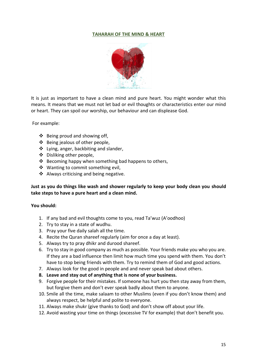## **TAHARAH OF THE MIND & HEART**



It is just as important to have a clean mind and pure heart. You might wonder what this means. It means that we must not let bad or evil thoughts or characteristics enter our mind or heart. They can spoil our worship, our behaviour and can displease God.

For example:

- ❖ Being proud and showing off,
- ❖ Being jealous of other people,
- ❖ Lying, anger, backbiting and slander,
- ❖ Disliking other people,
- ❖ Becoming happy when something bad happens to others,
- ❖ Wanting to commit something evil,
- ❖ Always criticising and being negative.

## **Just as you do things like wash and shower regularly to keep your body clean you should take steps to have a pure heart and a clean mind.**

#### **You should:**

- 1. If any bad and evil thoughts come to you, read Ta'wuz (A'oodhoo)
- 2. Try to stay in a state of wudhu.
- 3. Pray your five daily salah all the time.
- 4. Recite the Quran shareef regularly (aim for once a day at least).
- 5. Always try to pray dhikr and durood shareef.
- 6. Try to stay in good company as much as possible. Your friends make you who you are. If they are a bad influence then limit how much time you spend with them. You don't have to stop being friends with them. Try to remind them of God and good actions.
- 7. Always look for the good in people and and never speak bad about others.
- **8. Leave and stay out of anything that is none of your business.**
- 9. Forgive people for their mistakes. If someone has hurt you then stay away from them, but forgive them and don't ever speak badly about them to anyone.
- 10. Smile all the time, make salaam to other Muslims (even if you don't know them) and always respect, be helpful and polite to everyone.
- 11. Always make shukr (give thanks to God) and don't show off about your life.
- 12. Avoid wasting your time on things (excessive TV for example) that don't benefit you.